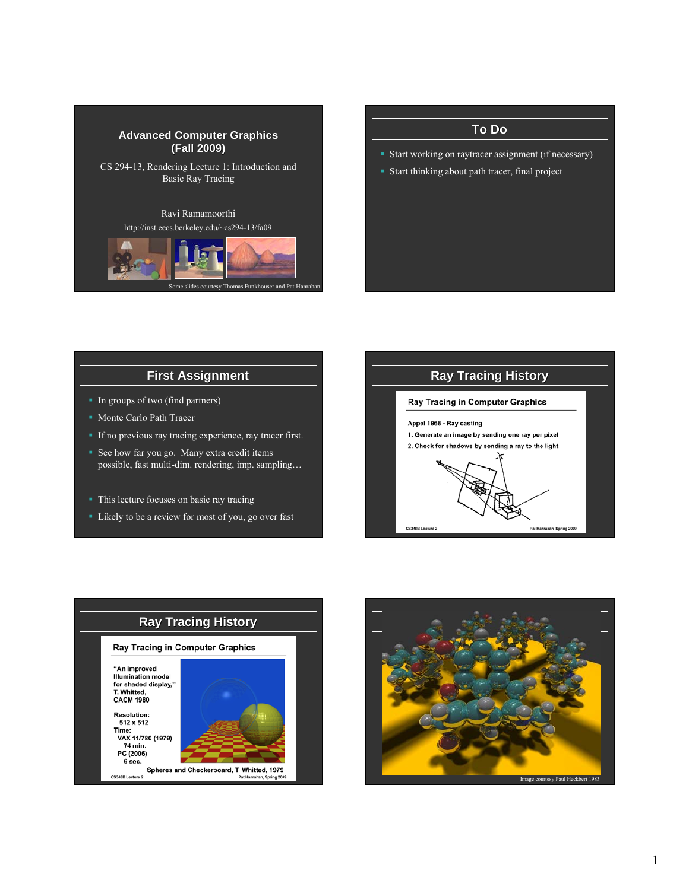

# **To Do** Start working on raytracer assignment (if necessary) Start thinking about path tracer, final project

# **First Assignment First Assignment**

- In groups of two (find partners)
- **Monte Carlo Path Tracer**
- If no previous ray tracing experience, ray tracer first.
- See how far you go. Many extra credit items possible, fast multi-dim. rendering, imp. sampling…
- This lecture focuses on basic ray tracing
- Likely to be a review for most of you, go over fast





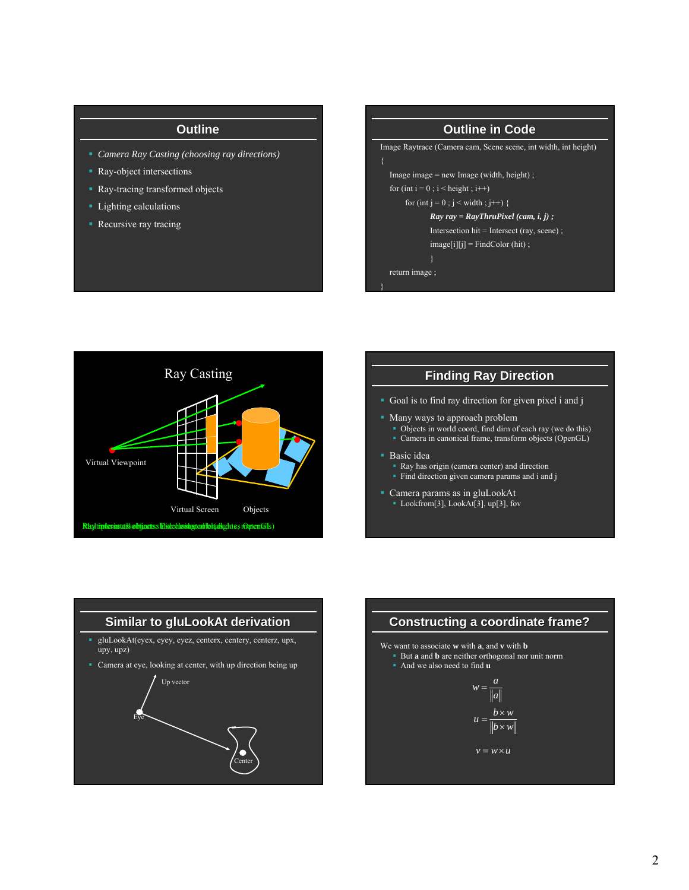#### **Outline**

- *Camera Ray Casting (choosing ray directions)*
- Ray-object intersections
- Ray-tracing transformed objects
- **Lighting calculations**
- **Recursive ray tracing**

# **Outline in Code** Image Raytrace (Camera cam, Scene scene, int width, int height) Image image = new Image (width, height) ; for (int  $i = 0$ ;  $i <$  height;  $i++)$ for (int j = 0 ; j < width ; j++) { *Ray ray = RayThruPixel (cam, i, j) ;* Intersection hit = Intersect (ray, scene) ;  $image[i][j]$  = FindColor (hit) ; return image ; }



#### **Finding Ray Direction**

- Goal is to find ray direction for given pixel i and j
- **Many ways to approach problem** 
	- Objects in world coord, find dirn of each ray (we do this)
	- Camera in canonical frame, transform objects (OpenGL)

#### **Basic idea**

- Ray has origin (camera center) and direction
- **Find direction given camera params and i and j**
- Camera params as in gluLookAt
	- Lookfrom[3], LookAt[3], up[3], fov



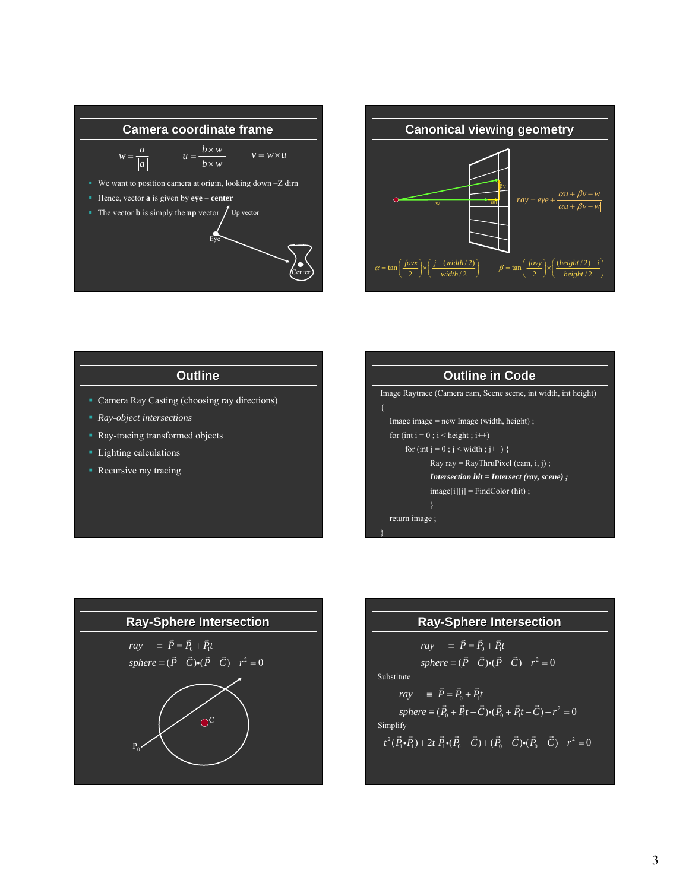



### **Outline**

- Camera Ray Casting (choosing ray directions)
- *Ray-object intersections*
- Ray-tracing transformed objects
- **Lighting calculations**
- **Recursive ray tracing**





### **Ray-Sphere Intersection**

$$
ray = \vec{P} = \vec{P}_0 + \vec{P}_1 t
$$
  
\n
$$
sphere = (\vec{P} - \vec{C}) \cdot (\vec{P} - \vec{C}) - r^2 = 0
$$
  
\nSubstitute  
\n
$$
ray = \vec{P} = \vec{P}_0 + \vec{P}_1 t
$$
  
\n
$$
sphere = (\vec{P}_0 + \vec{P}_1 t - \vec{C}) \cdot (\vec{P}_0 + \vec{P}_1 t - \vec{C}) - r^2 = 0
$$
  
\nSimplify  
\n
$$
t^2 (\vec{P}_1 \cdot \vec{P}_1) + 2t \vec{P}_1 \cdot (\vec{P}_0 - \vec{C}) + (\vec{P}_0 - \vec{C}) \cdot (\vec{P}_0 - \vec{C}) - r^2 = 0
$$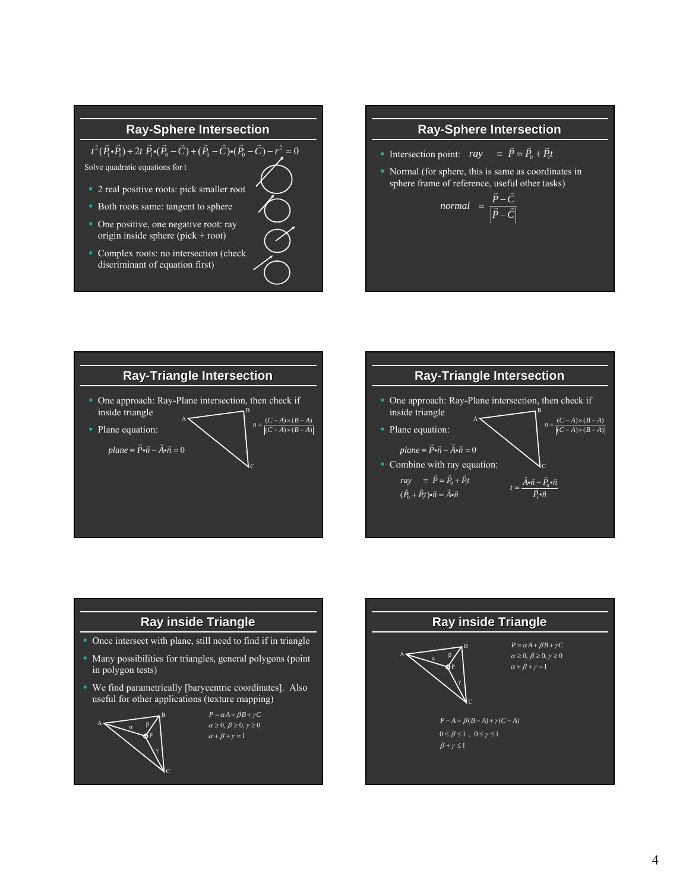# **Ray-Sphere Intersection**

 $t^2(\vec{P}_1 \cdot \vec{P}_1) + 2t \vec{P}_1 \cdot (\vec{P}_0 - \vec{C}) + (\vec{P}_0 - \vec{C}) \cdot (\vec{P}_0 - \vec{C}) - r^2 = 0$ 

Solve quadratic equations for t

- 2 real positive roots: pick smaller root
- Both roots same: tangent to sphere
- One positive, one negative root: ray origin inside sphere (pick + root)
- **Complex roots: no intersection (check** discriminant of equation first)

# **Ray-Sphere Intersection**

- Intersection point:  $ray \equiv \vec{P} = \vec{P}_0 + \vec{P}_1 t$
- Normal (for sphere, this is same as coordinates in sphere frame of reference, useful other tasks)

$$
normal = \frac{\vec{P} - \vec{C}}{|\vec{P} - \vec{C}|}
$$





# **Ray inside Triangle**

- Once intersect with plane, still need to find if in triangle
- Many possibilities for triangles, general polygons (point in polygon tests)
- We find parametrically [barycentric coordinates]. Also useful for other applications (texture mapping)



 $\alpha \geq 0, \beta \geq 0, \gamma \geq 0$  $\alpha + \beta + \gamma = 1$  $P = \alpha A + \beta B + \gamma C$ 

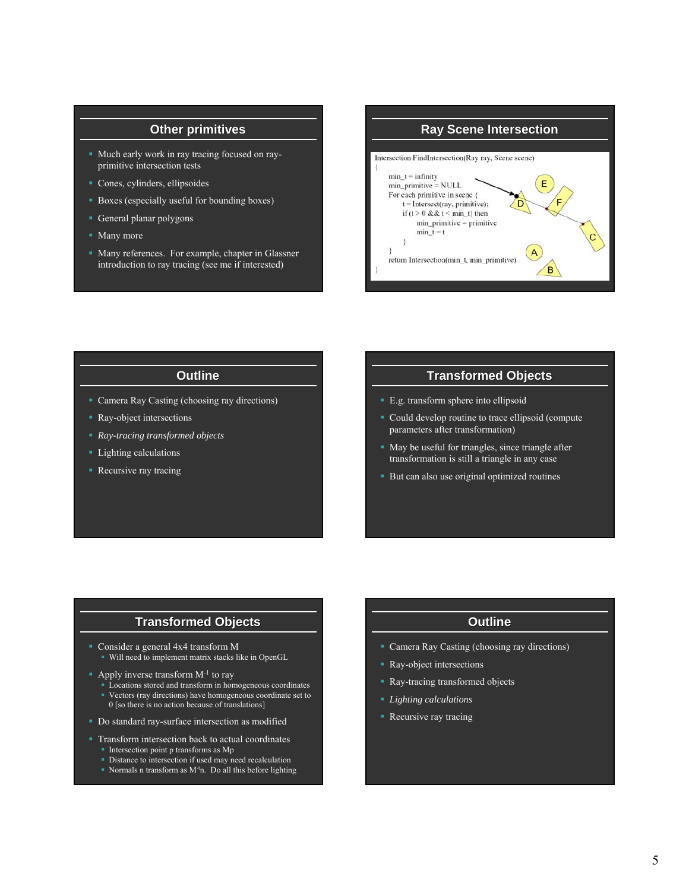#### **Other primitives**

- Much early work in ray tracing focused on rayprimitive intersection tests
- Cones, cylinders, ellipsoides
- Boxes (especially useful for bounding boxes)
- General planar polygons
- Many more
- Many references. For example, chapter in Glassner introduction to ray tracing (see me if interested)



#### **Outline**

- Camera Ray Casting (choosing ray directions)
- Ray-object intersections
- *Ray-tracing transformed objects*
- **Lighting calculations**
- **Recursive ray tracing**

## **Transformed Objects**

- E.g. transform sphere into ellipsoid
- Could develop routine to trace ellipsoid (compute parameters after transformation)
- May be useful for triangles, since triangle after transformation is still a triangle in any case
- **But can also use original optimized routines**

### **Transformed Objects**

- Consider a general 4x4 transform M
- Will need to implement matrix stacks like in OpenGL
- Apply inverse transform  $M<sup>-1</sup>$  to ray
	- Locations stored and transform in homogeneous coordinates Vectors (ray directions) have homogeneous coordinate set to
	- 0 [so there is no action because of translations]
- Do standard ray-surface intersection as modified
- Transform intersection back to actual coordinates Intersection point p transforms as Mp
	- Distance to intersection if used may need recalculation
	- Normals n transform as M-tn. Do all this before lighting

### **Outline**

- Camera Ray Casting (choosing ray directions)
- Ray-object intersections
- Ray-tracing transformed objects
- *Lighting calculations*
- **Recursive ray tracing**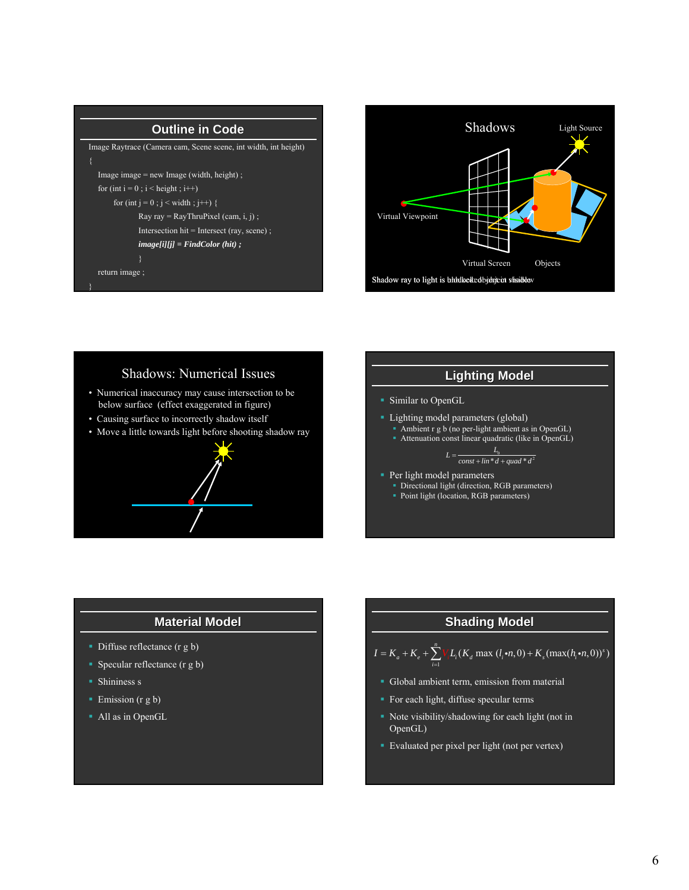| <b>Outline in Code</b>                                          |
|-----------------------------------------------------------------|
| Image Raytrace (Camera cam, Scene scene, int width, int height) |
| {                                                               |
| Image image $=$ new Image (width, height);                      |
| for (int $i = 0$ ; $i <$ height; $i++)$                         |
| for (int $i = 0$ ; $i <$ width; $i++)$ {                        |
| Ray ray = RayThruPixel (cam, i, j);                             |
| Intersection hit = Intersect (ray, scene);                      |
| $imagel[i][j] = FindColor(hit);$                                |
|                                                                 |
| return image;                                                   |
|                                                                 |



# Shadows: Numerical Issues • Numerical inaccuracy may cause intersection to be below surface (effect exaggerated in figure)

- Causing surface to incorrectly shadow itself
- Move a little towards light before shooting shadow ray



# **Lighting Model Lighting Model**

- **Similar to OpenGL**
- **Lighting model parameters (global)** 
	- Ambient r g b (no per-light ambient as in OpenGL)
	- Attenuation const linear quadratic (like in OpenGL)

$$
L = \frac{L_0}{const + \lim^{*} d + \text{quad}^{*} d^{2}}
$$

- **Per light model parameters** 
	- Directional light (direction, RGB parameters)
	- Point light (location, RGB parameters)

# **Material Model Material Model**

- Diffuse reflectance (r g b)
- Specular reflectance  $(r g b)$
- **Shininess s**
- Emission (r g b)
- All as in OpenGL

# **Shading Model Shading Model**

$$
I = K_a + K_e + \sum_{i=1}^{n} V L_i(K_d \max(l_i \cdot n, 0) + K_s(\max(h_i \cdot n, 0))^s)
$$

- Global ambient term, emission from material
- For each light, diffuse specular terms
- Note visibility/shadowing for each light (not in OpenGL)
- Evaluated per pixel per light (not per vertex)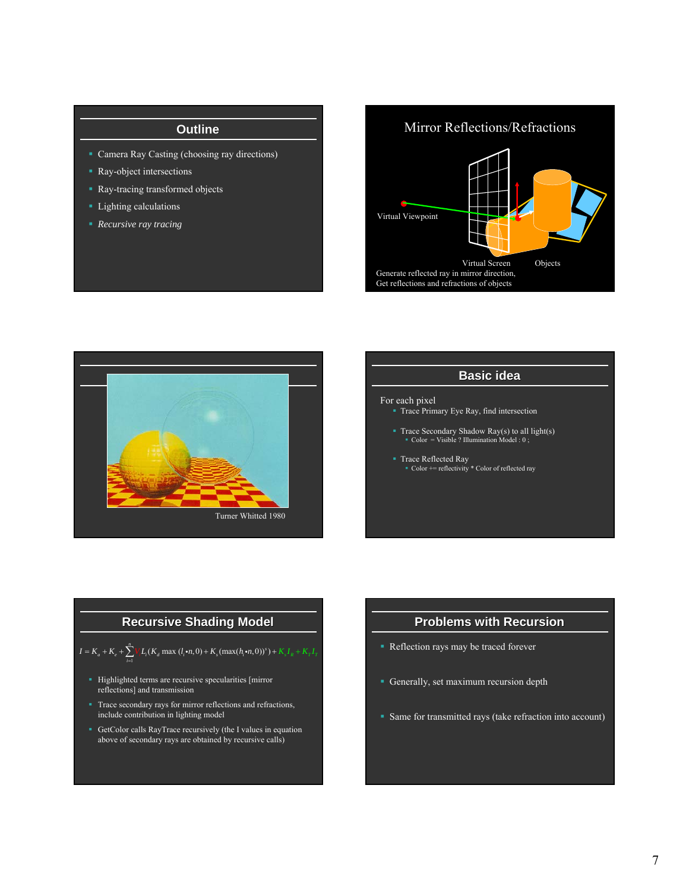# **Outline**

- Camera Ray Casting (choosing ray directions)
- Ray-object intersections
- **Ray-tracing transformed objects**
- **Lighting calculations**
- *Recursive ray tracing*

# Mirror Reflections/Refractions





# **Basic idea** For each pixel Trace Primary Eye Ray, find intersection Trace Secondary Shadow Ray(s) to all light(s) Color = Visible ? Illumination Model : 0 ; ■ Trace Reflected Ray Color += reflectivity \* Color of reflected ray

# **Recursive Shading Model Recursive Shading Model**

$$
I = K_a + K_e + \sum_{i=1}^{n} V_i L_i(K_a \max(l_i \cdot n, 0) + K_s(\max(h_i \cdot n, 0))^s) + K_s I_R + K_T I_T
$$

- Highlighted terms are recursive specularities [mirror] reflections] and transmission
- Trace secondary rays for mirror reflections and refractions, include contribution in lighting model
- GetColor calls RayTrace recursively (the I values in equation above of secondary rays are obtained by recursive calls)

# **Problems with Recursion**

- Reflection rays may be traced forever
- Generally, set maximum recursion depth
- Same for transmitted rays (take refraction into account)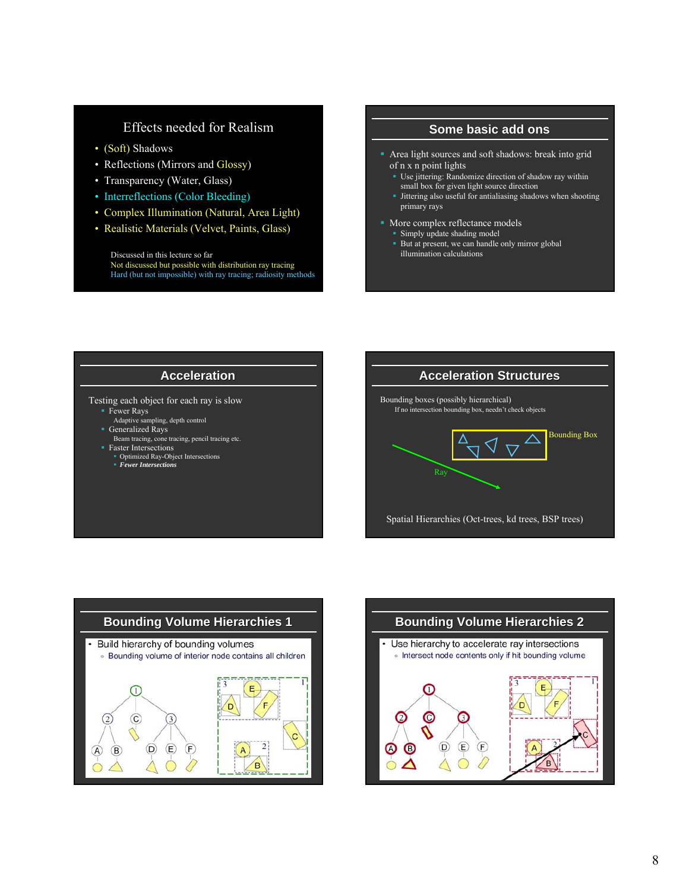## Effects needed for Realism

- (Soft) Shadows
- Reflections (Mirrors and Glossy)
- Transparency (Water, Glass)
- Interreflections (Color Bleeding)
- Complex Illumination (Natural, Area Light)
- Realistic Materials (Velvet, Paints, Glass)

Discussed in this lecture so far Not discussed but possible with distribution ray tracing Hard (but not impossible) with ray tracing; radiosity methods

#### **Some basic add basic add ons**

- Area light sources and soft shadows: break into grid of n x n point lights
	- Use jittering: Randomize direction of shadow ray within small box for given light source direction
	- Jittering also useful for antialiasing shadows when shooting primary rays
- More complex reflectance models
	- Simply update shading model
	- But at present, we can handle only mirror global illumination calculations

#### **Acceleration**

Testing each object for each ray is slow

- Fewer Rays
- Adaptive sampling, depth control Generalized Rays
- Beam tracing, cone tracing, pencil tracing etc. Faster Intersections
- Optimized Ray-Object Intersections *Fewer Intersections*





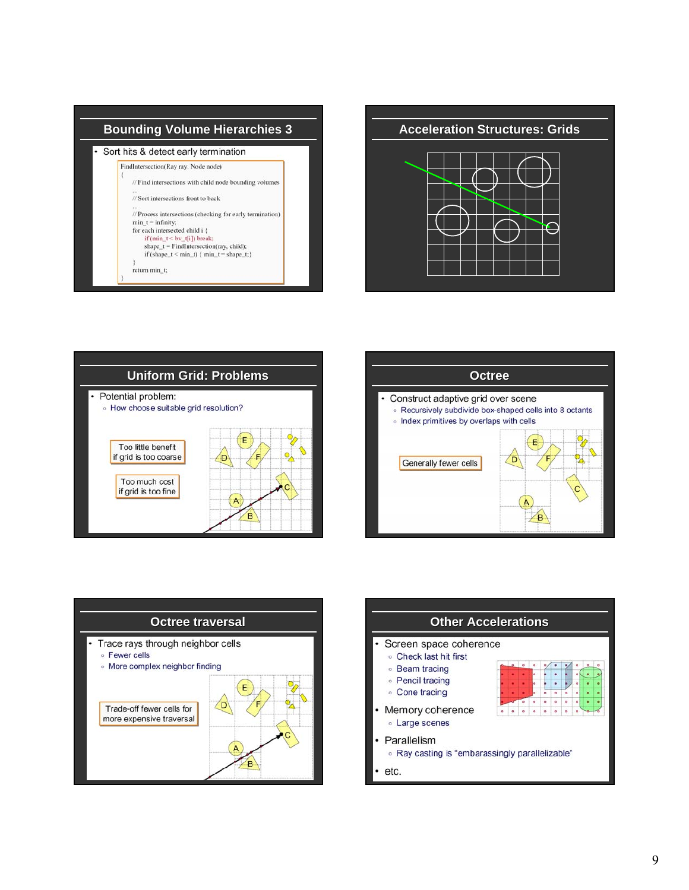